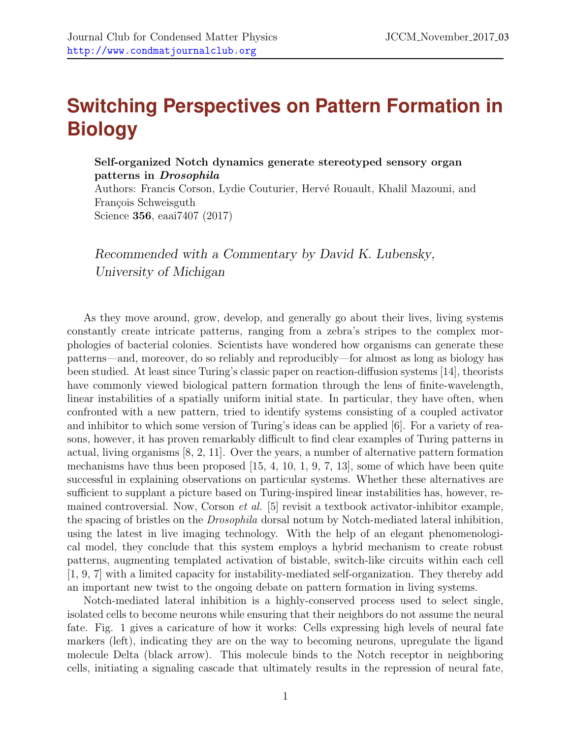## **Switching Perspectives on Pattern Formation in Biology**

## Self-organized Notch dynamics generate stereotyped sensory organ patterns in Drosophila

Authors: Francis Corson, Lydie Couturier, Hervé Rouault, Khalil Mazouni, and François Schweisguth Science 356, eaai7407 (2017)

Recommended with a Commentary by David K. Lubensky, University of Michigan

As they move around, grow, develop, and generally go about their lives, living systems constantly create intricate patterns, ranging from a zebra's stripes to the complex morphologies of bacterial colonies. Scientists have wondered how organisms can generate these patterns—and, moreover, do so reliably and reproducibly—for almost as long as biology has been studied. At least since Turing's classic paper on reaction-diffusion systems [\[14\]](#page-5-0), theorists have commonly viewed biological pattern formation through the lens of finite-wavelength, linear instabilities of a spatially uniform initial state. In particular, they have often, when confronted with a new pattern, tried to identify systems consisting of a coupled activator and inhibitor to which some version of Turing's ideas can be applied [\[6\]](#page-4-0). For a variety of reasons, however, it has proven remarkably difficult to find clear examples of Turing patterns in actual, living organisms [\[8,](#page-4-1) [2,](#page-4-2) [11\]](#page-5-1). Over the years, a number of alternative pattern formation mechanisms have thus been proposed [\[15,](#page-5-2) [4,](#page-4-3) [10,](#page-5-3) [1,](#page-4-4) [9,](#page-5-4) [7,](#page-4-5) [13\]](#page-5-5), some of which have been quite successful in explaining observations on particular systems. Whether these alternatives are sufficient to supplant a picture based on Turing-inspired linear instabilities has, however, remained controversial. Now, Corson et al. [\[5\]](#page-4-6) revisit a textbook activator-inhibitor example, the spacing of bristles on the Drosophila dorsal notum by Notch-mediated lateral inhibition, using the latest in live imaging technology. With the help of an elegant phenomenological model, they conclude that this system employs a hybrid mechanism to create robust patterns, augmenting templated activation of bistable, switch-like circuits within each cell [\[1,](#page-4-4) [9,](#page-5-4) [7\]](#page-4-5) with a limited capacity for instability-mediated self-organization. They thereby add an important new twist to the ongoing debate on pattern formation in living systems.

Notch-mediated lateral inhibition is a highly-conserved process used to select single, isolated cells to become neurons while ensuring that their neighbors do not assume the neural fate. Fig. [1](#page-1-0) gives a caricature of how it works: Cells expressing high levels of neural fate markers (left), indicating they are on the way to becoming neurons, upregulate the ligand molecule Delta (black arrow). This molecule binds to the Notch receptor in neighboring cells, initiating a signaling cascade that ultimately results in the repression of neural fate,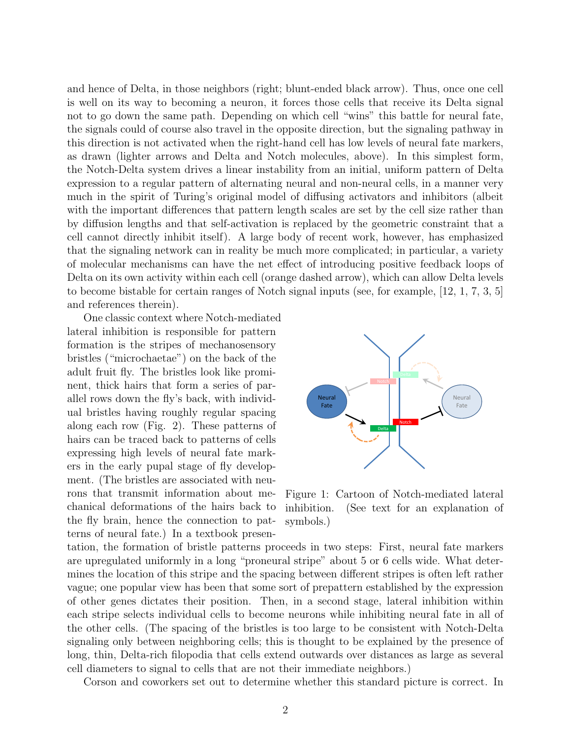and hence of Delta, in those neighbors (right; blunt-ended black arrow). Thus, once one cell is well on its way to becoming a neuron, it forces those cells that receive its Delta signal not to go down the same path. Depending on which cell "wins" this battle for neural fate, the signals could of course also travel in the opposite direction, but the signaling pathway in this direction is not activated when the right-hand cell has low levels of neural fate markers, as drawn (lighter arrows and Delta and Notch molecules, above). In this simplest form, the Notch-Delta system drives a linear instability from an initial, uniform pattern of Delta expression to a regular pattern of alternating neural and non-neural cells, in a manner very much in the spirit of Turing's original model of diffusing activators and inhibitors (albeit with the important differences that pattern length scales are set by the cell size rather than by diffusion lengths and that self-activation is replaced by the geometric constraint that a cell cannot directly inhibit itself). A large body of recent work, however, has emphasized that the signaling network can in reality be much more complicated; in particular, a variety of molecular mechanisms can have the net effect of introducing positive feedback loops of Delta on its own activity within each cell (orange dashed arrow), which can allow Delta levels to become bistable for certain ranges of Notch signal inputs (see, for example, [\[12,](#page-5-6) [1,](#page-4-4) [7,](#page-4-5) [3,](#page-4-7) [5\]](#page-4-6) and references therein).

One classic context where Notch-mediated lateral inhibition is responsible for pattern formation is the stripes of mechanosensory bristles ("microchaetae") on the back of the adult fruit fly. The bristles look like prominent, thick hairs that form a series of parallel rows down the fly's back, with individual bristles having roughly regular spacing along each row (Fig. [2\)](#page-2-0). These patterns of hairs can be traced back to patterns of cells expressing high levels of neural fate markers in the early pupal stage of fly development. (The bristles are associated with neurons that transmit information about mechanical deformations of the hairs back to the fly brain, hence the connection to patterns of neural fate.) In a textbook presen-



<span id="page-1-0"></span>Figure 1: Cartoon of Notch-mediated lateral inhibition. (See text for an explanation of symbols.)

tation, the formation of bristle patterns proceeds in two steps: First, neural fate markers are upregulated uniformly in a long "proneural stripe" about 5 or 6 cells wide. What determines the location of this stripe and the spacing between different stripes is often left rather vague; one popular view has been that some sort of prepattern established by the expression of other genes dictates their position. Then, in a second stage, lateral inhibition within each stripe selects individual cells to become neurons while inhibiting neural fate in all of the other cells. (The spacing of the bristles is too large to be consistent with Notch-Delta signaling only between neighboring cells; this is thought to be explained by the presence of long, thin, Delta-rich filopodia that cells extend outwards over distances as large as several cell diameters to signal to cells that are not their immediate neighbors.)

Corson and coworkers set out to determine whether this standard picture is correct. In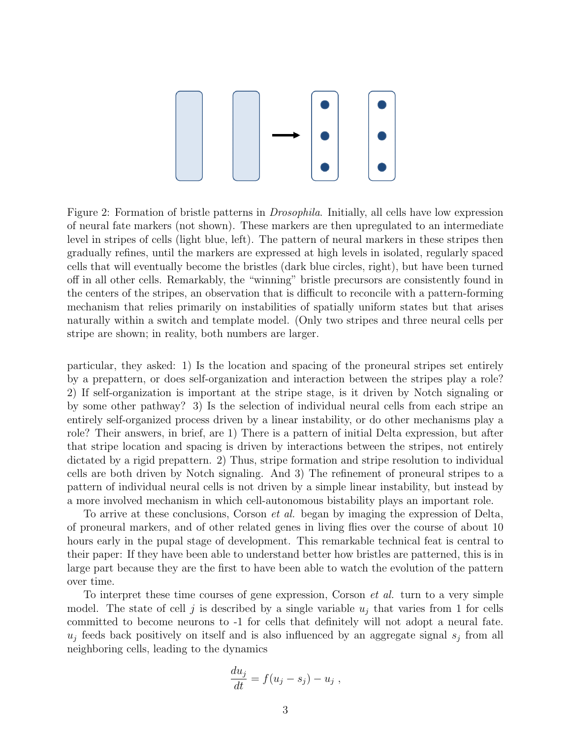

<span id="page-2-0"></span>Figure 2: Formation of bristle patterns in Drosophila. Initially, all cells have low expression of neural fate markers (not shown). These markers are then upregulated to an intermediate level in stripes of cells (light blue, left). The pattern of neural markers in these stripes then gradually refines, until the markers are expressed at high levels in isolated, regularly spaced cells that will eventually become the bristles (dark blue circles, right), but have been turned off in all other cells. Remarkably, the "winning" bristle precursors are consistently found in the centers of the stripes, an observation that is difficult to reconcile with a pattern-forming mechanism that relies primarily on instabilities of spatially uniform states but that arises naturally within a switch and template model. (Only two stripes and three neural cells per stripe are shown; in reality, both numbers are larger.

particular, they asked: 1) Is the location and spacing of the proneural stripes set entirely by a prepattern, or does self-organization and interaction between the stripes play a role? 2) If self-organization is important at the stripe stage, is it driven by Notch signaling or by some other pathway? 3) Is the selection of individual neural cells from each stripe an entirely self-organized process driven by a linear instability, or do other mechanisms play a role? Their answers, in brief, are 1) There is a pattern of initial Delta expression, but after that stripe location and spacing is driven by interactions between the stripes, not entirely dictated by a rigid prepattern. 2) Thus, stripe formation and stripe resolution to individual cells are both driven by Notch signaling. And 3) The refinement of proneural stripes to a pattern of individual neural cells is not driven by a simple linear instability, but instead by a more involved mechanism in which cell-autonomous bistability plays an important role.

To arrive at these conclusions, Corson *et al.* began by imaging the expression of Delta, of proneural markers, and of other related genes in living flies over the course of about 10 hours early in the pupal stage of development. This remarkable technical feat is central to their paper: If they have been able to understand better how bristles are patterned, this is in large part because they are the first to have been able to watch the evolution of the pattern over time.

To interpret these time courses of gene expression, Corson *et al.* turn to a very simple model. The state of cell j is described by a single variable  $u_j$  that varies from 1 for cells committed to become neurons to -1 for cells that definitely will not adopt a neural fate.  $u_j$  feeds back positively on itself and is also influenced by an aggregate signal  $s_j$  from all neighboring cells, leading to the dynamics

$$
\frac{du_j}{dt} = f(u_j - s_j) - u_j,
$$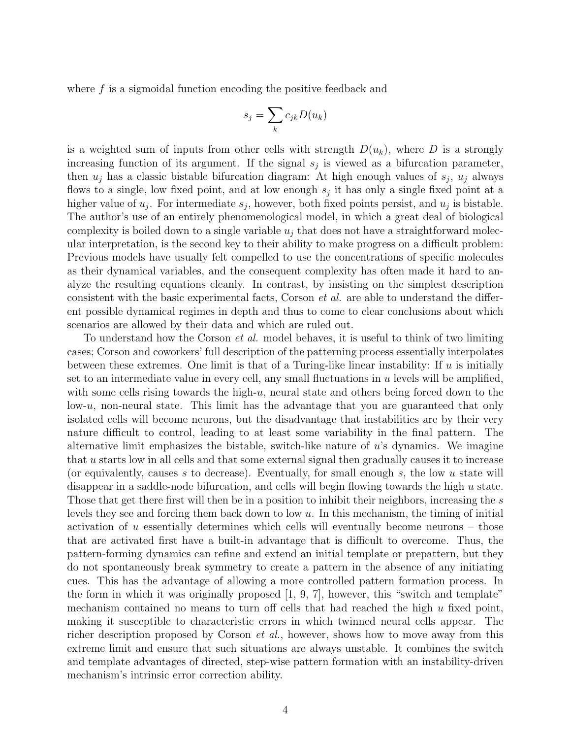where  $f$  is a sigmoidal function encoding the positive feedback and

$$
s_j = \sum_k c_{jk} D(u_k)
$$

is a weighted sum of inputs from other cells with strength  $D(u_k)$ , where D is a strongly increasing function of its argument. If the signal  $s_j$  is viewed as a bifurcation parameter, then  $u_j$  has a classic bistable bifurcation diagram: At high enough values of  $s_j$ ,  $u_j$  always flows to a single, low fixed point, and at low enough  $s_j$  it has only a single fixed point at a higher value of  $u_j$ . For intermediate  $s_j$ , however, both fixed points persist, and  $u_j$  is bistable. The author's use of an entirely phenomenological model, in which a great deal of biological complexity is boiled down to a single variable  $u_i$  that does not have a straightforward molecular interpretation, is the second key to their ability to make progress on a difficult problem: Previous models have usually felt compelled to use the concentrations of specific molecules as their dynamical variables, and the consequent complexity has often made it hard to analyze the resulting equations cleanly. In contrast, by insisting on the simplest description consistent with the basic experimental facts, Corson et al. are able to understand the different possible dynamical regimes in depth and thus to come to clear conclusions about which scenarios are allowed by their data and which are ruled out.

To understand how the Corson et al. model behaves, it is useful to think of two limiting cases; Corson and coworkers' full description of the patterning process essentially interpolates between these extremes. One limit is that of a Turing-like linear instability: If  $u$  is initially set to an intermediate value in every cell, any small fluctuations in  $u$  levels will be amplified, with some cells rising towards the high-u, neural state and others being forced down to the  $low-u$ , non-neural state. This limit has the advantage that you are guaranteed that only isolated cells will become neurons, but the disadvantage that instabilities are by their very nature difficult to control, leading to at least some variability in the final pattern. The alternative limit emphasizes the bistable, switch-like nature of u's dynamics. We imagine that u starts low in all cells and that some external signal then gradually causes it to increase (or equivalently, causes s to decrease). Eventually, for small enough s, the low u state will disappear in a saddle-node bifurcation, and cells will begin flowing towards the high  $u$  state. Those that get there first will then be in a position to inhibit their neighbors, increasing the s levels they see and forcing them back down to low u. In this mechanism, the timing of initial activation of u essentially determines which cells will eventually become neurons – those that are activated first have a built-in advantage that is difficult to overcome. Thus, the pattern-forming dynamics can refine and extend an initial template or prepattern, but they do not spontaneously break symmetry to create a pattern in the absence of any initiating cues. This has the advantage of allowing a more controlled pattern formation process. In the form in which it was originally proposed [\[1,](#page-4-4) [9,](#page-5-4) [7\]](#page-4-5), however, this "switch and template" mechanism contained no means to turn off cells that had reached the high  $u$  fixed point, making it susceptible to characteristic errors in which twinned neural cells appear. The richer description proposed by Corson *et al.*, however, shows how to move away from this extreme limit and ensure that such situations are always unstable. It combines the switch and template advantages of directed, step-wise pattern formation with an instability-driven mechanism's intrinsic error correction ability.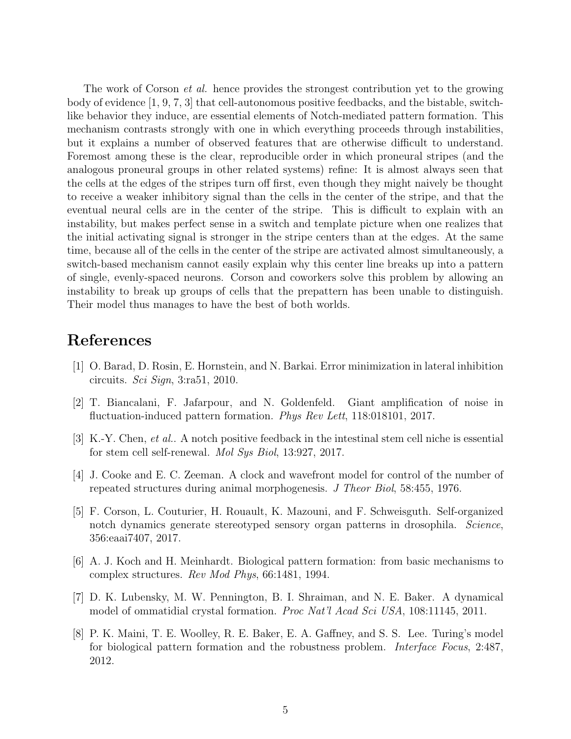The work of Corson *et al.* hence provides the strongest contribution yet to the growing body of evidence [\[1,](#page-4-4) [9,](#page-5-4) [7,](#page-4-5) [3\]](#page-4-7) that cell-autonomous positive feedbacks, and the bistable, switchlike behavior they induce, are essential elements of Notch-mediated pattern formation. This mechanism contrasts strongly with one in which everything proceeds through instabilities, but it explains a number of observed features that are otherwise difficult to understand. Foremost among these is the clear, reproducible order in which proneural stripes (and the analogous proneural groups in other related systems) refine: It is almost always seen that the cells at the edges of the stripes turn off first, even though they might naively be thought to receive a weaker inhibitory signal than the cells in the center of the stripe, and that the eventual neural cells are in the center of the stripe. This is difficult to explain with an instability, but makes perfect sense in a switch and template picture when one realizes that the initial activating signal is stronger in the stripe centers than at the edges. At the same time, because all of the cells in the center of the stripe are activated almost simultaneously, a switch-based mechanism cannot easily explain why this center line breaks up into a pattern of single, evenly-spaced neurons. Corson and coworkers solve this problem by allowing an instability to break up groups of cells that the prepattern has been unable to distinguish. Their model thus manages to have the best of both worlds.

## References

- <span id="page-4-4"></span>[1] O. Barad, D. Rosin, E. Hornstein, and N. Barkai. Error minimization in lateral inhibition circuits. Sci Sign, 3:ra51, 2010.
- <span id="page-4-2"></span>[2] T. Biancalani, F. Jafarpour, and N. Goldenfeld. Giant amplification of noise in fluctuation-induced pattern formation. *Phys Rev Lett*, 118:018101, 2017.
- <span id="page-4-7"></span>[3] K.-Y. Chen, et al.. A notch positive feedback in the intestinal stem cell niche is essential for stem cell self-renewal. Mol Sys Biol, 13:927, 2017.
- <span id="page-4-3"></span>[4] J. Cooke and E. C. Zeeman. A clock and wavefront model for control of the number of repeated structures during animal morphogenesis. J Theor Biol, 58:455, 1976.
- <span id="page-4-6"></span>[5] F. Corson, L. Couturier, H. Rouault, K. Mazouni, and F. Schweisguth. Self-organized notch dynamics generate stereotyped sensory organ patterns in drosophila. Science, 356:eaai7407, 2017.
- <span id="page-4-0"></span>[6] A. J. Koch and H. Meinhardt. Biological pattern formation: from basic mechanisms to complex structures. Rev Mod Phys, 66:1481, 1994.
- <span id="page-4-5"></span>[7] D. K. Lubensky, M. W. Pennington, B. I. Shraiman, and N. E. Baker. A dynamical model of ommatidial crystal formation. Proc Nat'l Acad Sci USA, 108:11145, 2011.
- <span id="page-4-1"></span>[8] P. K. Maini, T. E. Woolley, R. E. Baker, E. A. Gaffney, and S. S. Lee. Turing's model for biological pattern formation and the robustness problem. Interface Focus, 2:487, 2012.